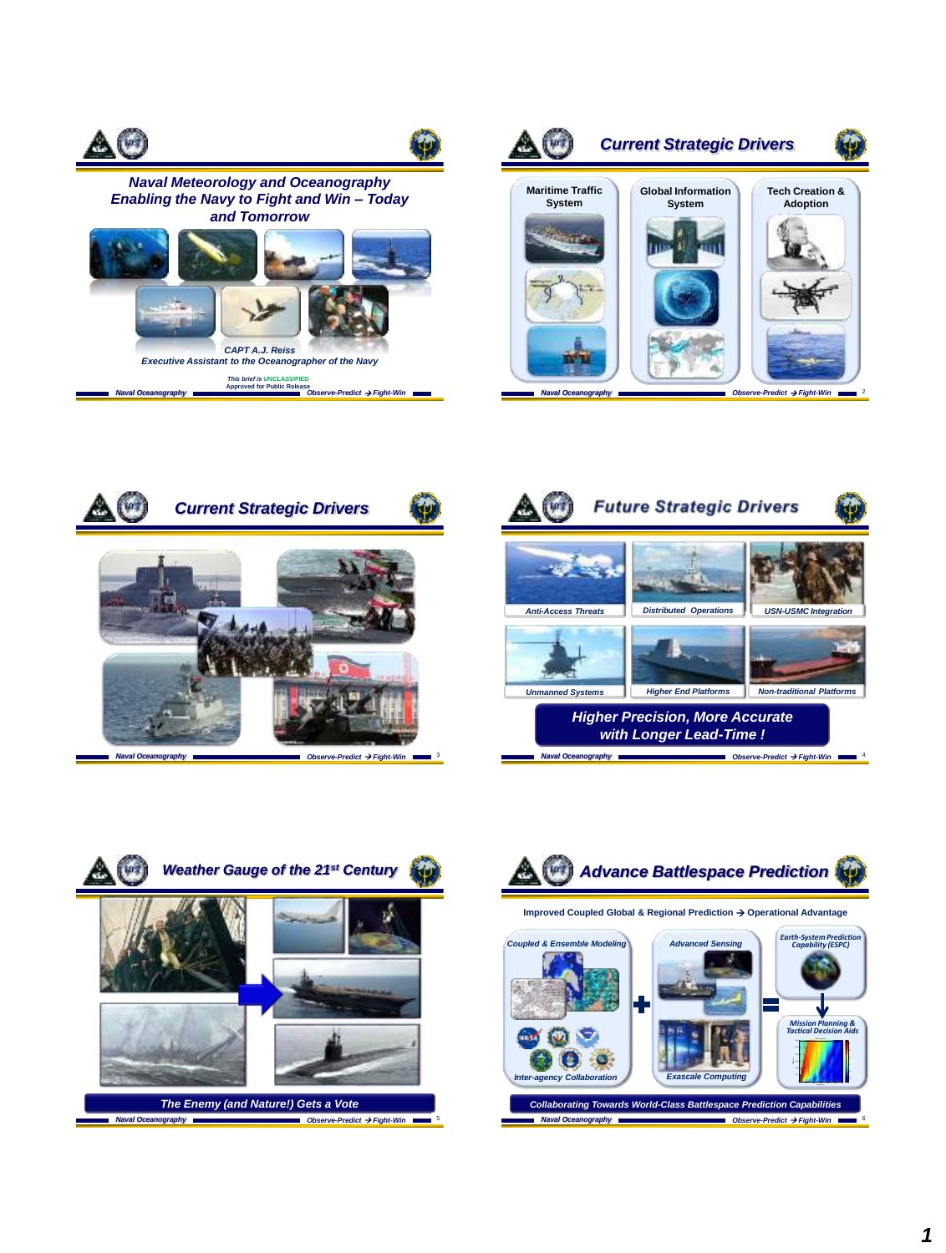









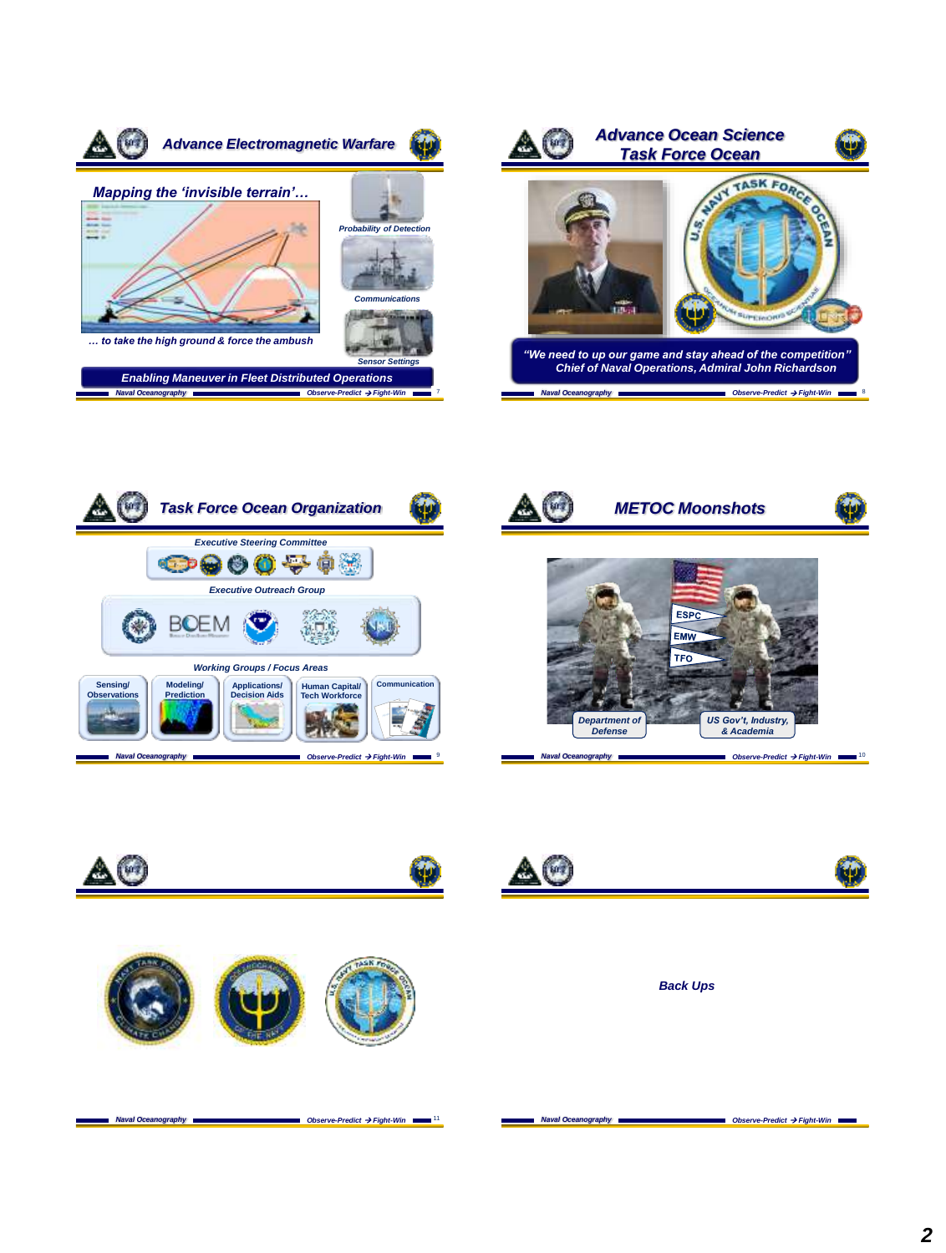













*Back Ups*

**Naval Oceanography Observe-Predict**  $\rightarrow$  **Fight-Win** 11 **Naval Oceanography Observe-Predict**  $\rightarrow$  **Fight-Win**